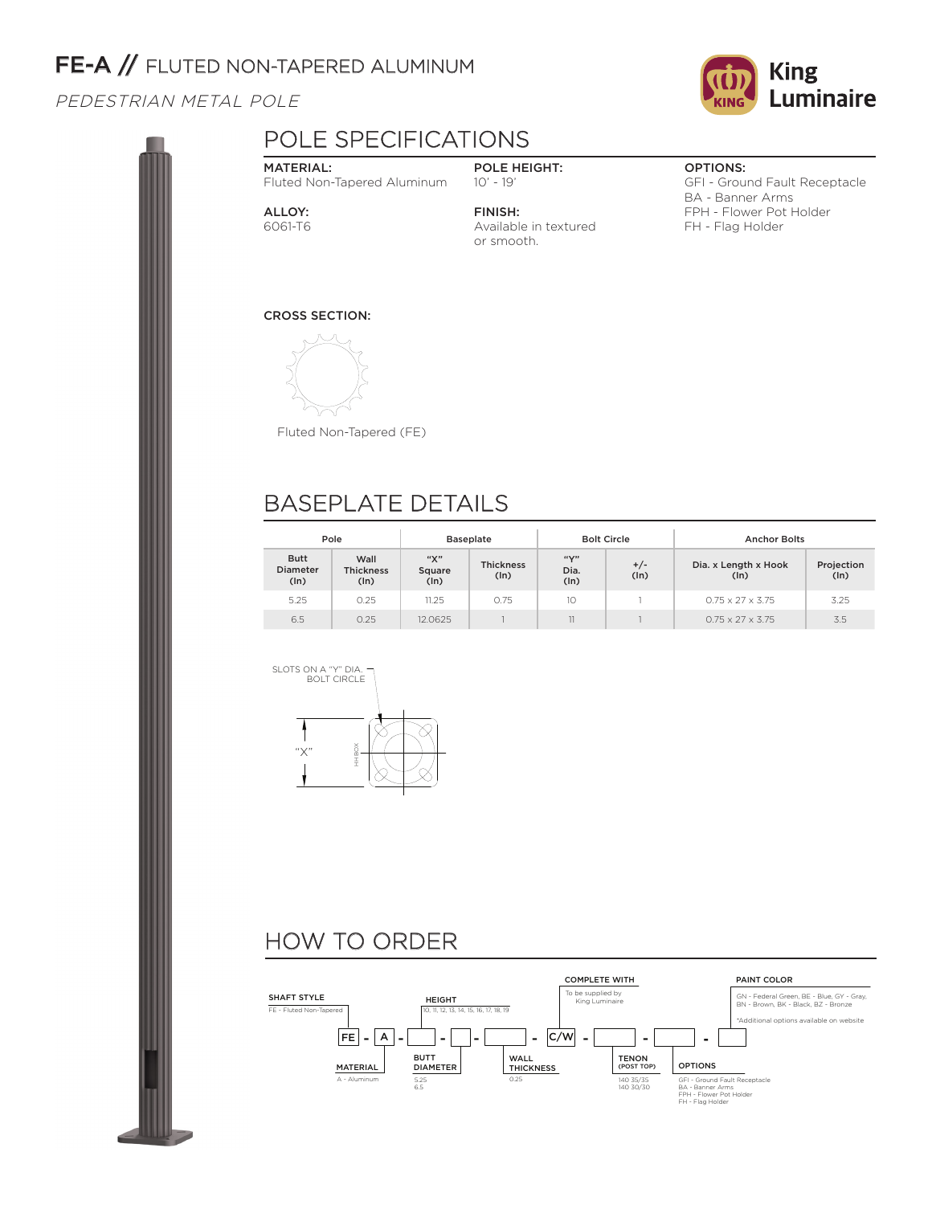# FE-A // FLUTED NON-TAPERED ALUMINUM

PEDESTRIAN METAL POLE



## POLE SPECIFICATIONS

#### MATERIAL: Fluted Non-Tapered Aluminum

ALLOY: 6061-T6

#### POLE HEIGHT: 10' - 19'

FINISH: Available in textured or smooth.

#### OPTIONS:

GFI - Ground Fault Receptacle BA - Banner Arms FPH - Flower Pot Holder FH - Flag Holder

### CROSS SECTION:



Fluted Non-Tapered (FE)

## BASEPLATE DETAILS

| Pole                                   |                                  | <b>Baseplate</b>      |                          |                               | <b>Bolt Circle</b> | <b>Anchor Bolts</b>          |                    |  |
|----------------------------------------|----------------------------------|-----------------------|--------------------------|-------------------------------|--------------------|------------------------------|--------------------|--|
| <b>Butt</b><br><b>Diameter</b><br>(ln) | Wall<br><b>Thickness</b><br>(ln) | "Х"<br>Square<br>(ln) | <b>Thickness</b><br>(ln) | $f(f \vee y)$<br>Dia.<br>(ln) | $+/-$<br>(ln)      | Dia. x Length x Hook<br>(ln) | Projection<br>(ln) |  |
| 5.25                                   | 0.25                             | 11.25                 | 0.75                     | 10                            |                    | $0.75 \times 27 \times 3.75$ | 3.25               |  |
| 6.5                                    | 0.25                             | 12.0625               |                          | 11                            |                    | $0.75 \times 27 \times 3.75$ | 3.5                |  |



# HOW TO ORDER

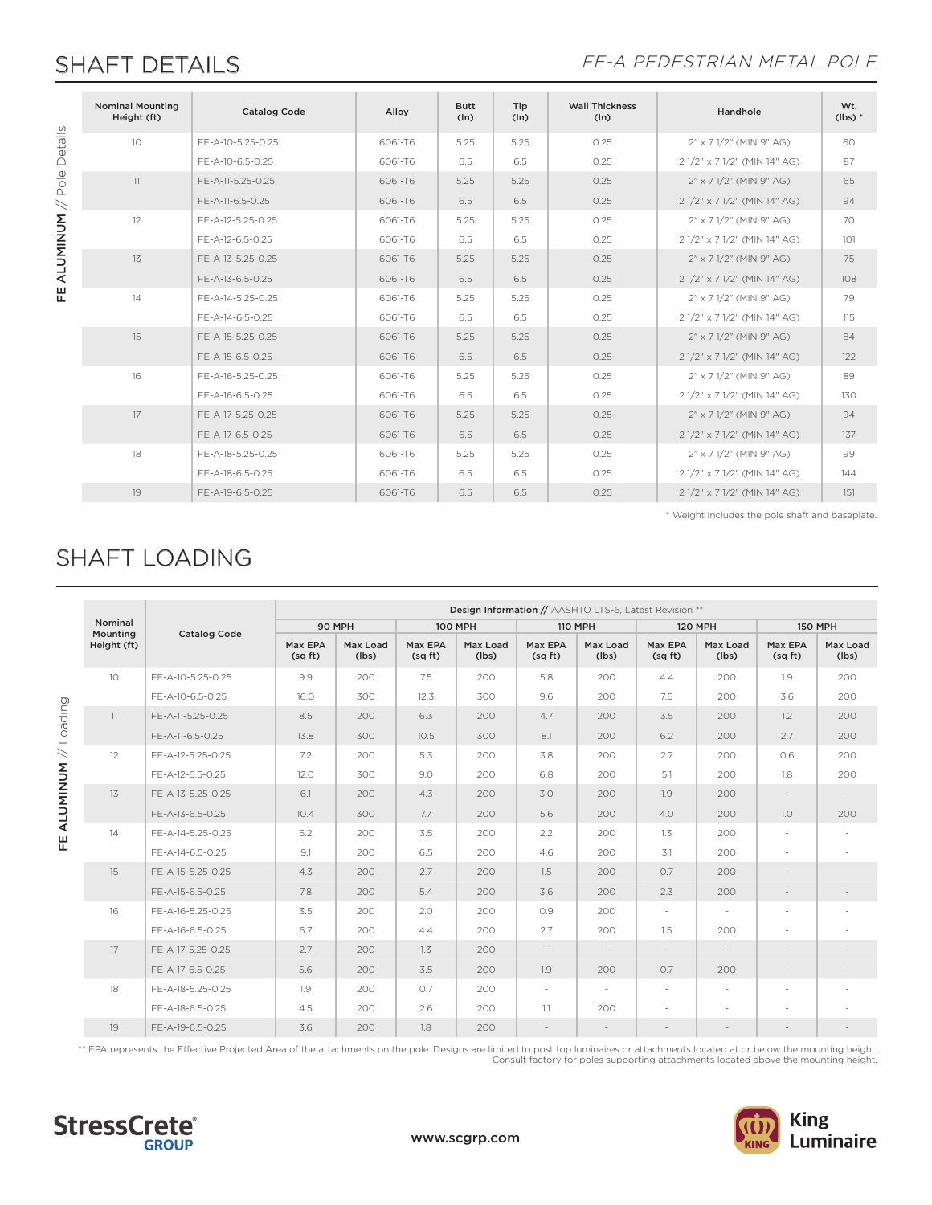### SHAFT DETAILS FE-A PEDESTRIAN METAL POLE

|  | <b>Nominal Mounting</b><br>Height (ft) | <b>Catalog Code</b> | Alloy   | <b>Butt</b><br>(ln) | Tip<br>(ln) | <b>Wall Thickness</b><br>(ln) | Handhole                     | Wt.<br>$(lbs)*$ |
|--|----------------------------------------|---------------------|---------|---------------------|-------------|-------------------------------|------------------------------|-----------------|
|  | 10 <sup>1</sup>                        | FE-A-10-5.25-0.25   | 6061-T6 | 5.25                | 5.25        | 0.25                          | 2" x 7 1/2" (MIN 9" AG)      | 60              |
|  |                                        | FE-A-10-6.5-0.25    | 6061-T6 | 6.5                 | 6.5         | 0.25                          | 2 1/2" x 7 1/2" (MIN 14" AG) | 87              |
|  | 11                                     | FE-A-11-5.25-0.25   | 6061-T6 | 5.25                | 5.25        | 0.25                          | 2" x 7 1/2" (MIN 9" AG)      | 65              |
|  |                                        | FE-A-11-6.5-0.25    | 6061-T6 | 6.5                 | 6.5         | 0.25                          | 2 1/2" x 7 1/2" (MIN 14" AG) | 94              |
|  | 12                                     | FE-A-12-5.25-0.25   | 6061-T6 | 5.25                | 5.25        | 0.25                          | 2" x 7 1/2" (MIN 9" AG)      | 70              |
|  |                                        | FE-A-12-6.5-0.25    | 6061-T6 | 6.5                 | 6.5         | 0.25                          | 2 1/2" x 7 1/2" (MIN 14" AG) | 101             |
|  | 13                                     | FE-A-13-5.25-0.25   | 6061-T6 | 5.25                | 5.25        | 0.25                          | 2" x 7 1/2" (MIN 9" AG)      | 75              |
|  |                                        | FE-A-13-6.5-0.25    | 6061-T6 | 6.5                 | 6.5         | 0.25                          | 2 1/2" x 7 1/2" (MIN 14" AG) | 108             |
|  | 14                                     | FE-A-14-5.25-0.25   | 6061-T6 | 5.25                | 5.25        | 0.25                          | 2" x 7 1/2" (MIN 9" AG)      | 79              |
|  |                                        | FE-A-14-6.5-0.25    | 6061-T6 | 6.5                 | 6.5         | 0.25                          | 2 1/2" x 7 1/2" (MIN 14" AG) | 115             |
|  | 15                                     | FE-A-15-5.25-0.25   | 6061-T6 | 5.25                | 5.25        | 0.25                          | 2" x 7 1/2" (MIN 9" AG)      | 84              |
|  |                                        | FF-A-15-6.5-0.25    | 6061-T6 | 6.5                 | 6.5         | 0.25                          | 2 1/2" x 7 1/2" (MIN 14" AG) | 122             |
|  | 16                                     | FE-A-16-5.25-0.25   | 6061-T6 | 5.25                | 5.25        | 0.25                          | 2" x 7 1/2" (MIN 9" AG)      | 89              |
|  |                                        | FE-A-16-6.5-0.25    | 6061-T6 | 6.5                 | 6.5         | 0.25                          | 2 1/2" x 7 1/2" (MIN 14" AG) | 130             |
|  | 17                                     | FE-A-17-5.25-0.25   | 6061-T6 | 5.25                | 5.25        | 0.25                          | 2" x 7 1/2" (MIN 9" AG)      | 94              |
|  |                                        | FE-A-17-6.5-0.25    | 6061-T6 | 6.5                 | 6.5         | 0.25                          | 2 1/2" x 7 1/2" (MIN 14" AG) | 137             |
|  | 18                                     | FE-A-18-5.25-0.25   | 6061-T6 | 5.25                | 5.25        | 0.25                          | 2" x 7 1/2" (MIN 9" AG)      | 99              |
|  |                                        | FE-A-18-6.5-0.25    | 6061-T6 | 6.5                 | 6.5         | 0.25                          | 2 1/2" x 7 1/2" (MIN 14" AG) | 144             |
|  | 19                                     | FE-A-19-6.5-0.25    | 6061-T6 | 6.5                 | 6.5         | 0.25                          | 2 1/2" x 7 1/2" (MIN 14" AG) | 151             |

\* Weight includes the pole shaft and baseplate.

## SHAFT LOADING

|                                         |                                    |                     | Design Information // AASHTO LTS-6, Latest Revision ** |                   |                   |                   |                          |                          |                          |                          |                          |                          |
|-----------------------------------------|------------------------------------|---------------------|--------------------------------------------------------|-------------------|-------------------|-------------------|--------------------------|--------------------------|--------------------------|--------------------------|--------------------------|--------------------------|
|                                         | Nominal<br>Mounting<br>Height (ft) | <b>Catalog Code</b> | 90 MPH                                                 |                   | <b>100 MPH</b>    |                   | <b>110 MPH</b>           |                          | <b>120 MPH</b>           |                          | <b>150 MPH</b>           |                          |
|                                         |                                    |                     | Max EPA<br>(sqft)                                      | Max Load<br>(lbs) | Max EPA<br>(sqft) | Max Load<br>(lbs) | Max EPA<br>(sqft)        | Max Load<br>(lbs)        | Max EPA<br>(sqft)        | Max Load<br>(lbs)        | Max EPA<br>(sqft)        | Max Load<br>(lbs)        |
| Loading<br>$\,$<br><b>ALUMINUM</b><br>뿐 | 10 <sup>°</sup>                    | FE-A-10-5.25-0.25   | 9.9                                                    | 200               | 7.5               | 200               | 5.8                      | 200                      | 4.4                      | 200                      | 1.9                      | 200                      |
|                                         |                                    | FE-A-10-6.5-0.25    | 16.0                                                   | 300               | 12.3              | 300               | 9.6                      | 200                      | 7.6                      | 200                      | 3.6                      | 200                      |
|                                         | 11                                 | FE-A-11-5.25-0.25   | 8.5                                                    | 200               | 6.3               | 200               | 4.7                      | 200                      | 3.5                      | 200                      | 1.2                      | 200                      |
|                                         |                                    | FE-A-11-6.5-0.25    | 13.8                                                   | 300               | 10.5              | 300               | 8.1                      | 200                      | 6.2                      | 200                      | 2.7                      | 200                      |
|                                         | 12                                 | FE-A-12-5.25-0.25   | 7.2                                                    | 200               | 5.3               | 200               | 3.8                      | 200                      | 2.7                      | 200                      | 0.6                      | 200                      |
|                                         |                                    | FE-A-12-6.5-0.25    | 12.0                                                   | 300               | 9.0               | 200               | 6.8                      | 200                      | 5.1                      | 200                      | 1.8                      | 200                      |
|                                         | 13                                 | FE-A-13-5.25-0.25   | 6.1                                                    | 200               | 4.3               | 200               | 3.0                      | 200                      | 1.9                      | 200                      |                          | $\overline{\phantom{a}}$ |
|                                         |                                    | FE-A-13-6.5-0.25    | 10.4                                                   | 300               | 7.7               | 200               | 5.6                      | 200                      | 4.0                      | 200                      | 1.0                      | 200                      |
|                                         | 14                                 | FE-A-14-5.25-0.25   | 5.2                                                    | 200               | 3.5               | 200               | 2.2                      | 200                      | 1.3                      | 200                      | $\overline{\phantom{a}}$ |                          |
|                                         |                                    | FE-A-14-6.5-0.25    | 9.1                                                    | 200               | 6.5               | 200               | 4.6                      | 200                      | 3.1                      | 200                      | $\overline{\phantom{a}}$ |                          |
|                                         | 15                                 | FE-A-15-5.25-0.25   | 4.3                                                    | 200               | 2.7               | 200               | 1.5                      | 200                      | O.7                      | 200                      |                          |                          |
|                                         |                                    | FE-A-15-6.5-0.25    | 7.8                                                    | 200               | 5.4               | 200               | 3.6                      | 200                      | 2.3                      | 200                      |                          |                          |
|                                         | 16                                 | FE-A-16-5.25-0.25   | 3.5                                                    | 200               | 2.0               | 200               | O.9                      | 200                      | $\overline{\phantom{a}}$ | $\sim$                   | ٠                        |                          |
|                                         |                                    | FF-A-16-6.5-0.25    | 6.7                                                    | 200               | 4.4               | 200               | 2.7                      | 200                      | 1.5                      | 200                      | $\overline{a}$           |                          |
|                                         | 17                                 | FE-A-17-5.25-0.25   | 2.7                                                    | 200               | 1.3               | 200               | $\sim$                   | $\overline{\phantom{a}}$ | $\sim$                   | $\overline{\phantom{a}}$ |                          |                          |
|                                         |                                    | FE-A-17-6.5-0.25    | 5.6                                                    | 200               | 3.5               | 200               | 1.9                      | 200                      | O.7                      | 200                      | $\overline{a}$           |                          |
|                                         | 18                                 | FE-A-18-5.25-0.25   | 1.9                                                    | 200               | O.7               | 200               | $\overline{\phantom{a}}$ | $\overline{\phantom{a}}$ | $\overline{\phantom{a}}$ | $\overline{\phantom{a}}$ | $\overline{\phantom{a}}$ |                          |
|                                         |                                    | FE-A-18-6.5-0.25    | 4.5                                                    | 200               | 2.6               | 200               | 1.1                      | 200                      |                          |                          |                          |                          |
|                                         | 19                                 | FE-A-19-6.5-0.25    | 3.6                                                    | 200               | 1.8               | 200               |                          |                          |                          |                          |                          |                          |

\*\* EPA represents the Effective Projected Area of the attachments on the pole. Designs are limited to post top luminaires or attachments located at or below the mounting height. Consult factory for poles supporting attachments located above the mounting height.